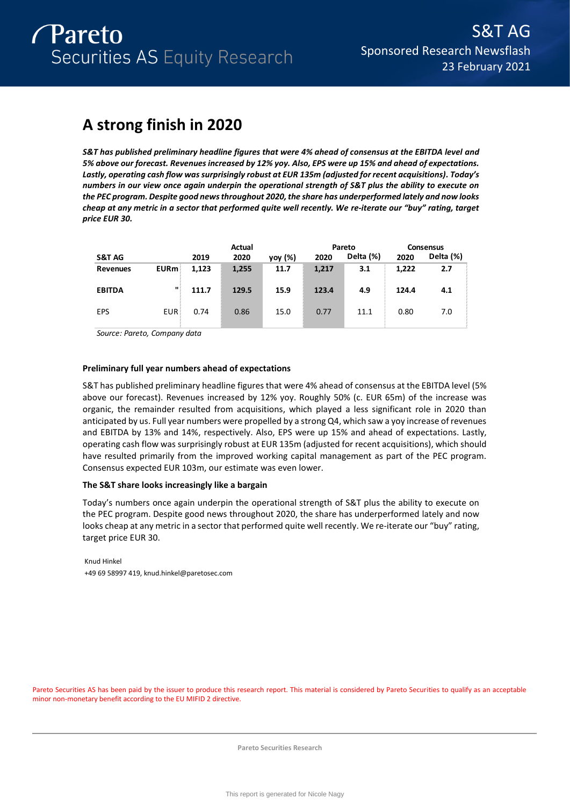# **A strong finish in 2020**

*S&T has published preliminary headline figures that were 4% ahead of consensus at the EBITDA level and 5% above our forecast. Revenues increased by 12% yoy. Also, EPS were up 15% and ahead of expectations. Lastly, operating cash flow was surprisingly robust at EUR 135m (adjusted for recent acquisitions). Today's numbers in our view once again underpin the operational strength of S&T plus the ability to execute on the PEC program. Despite good news throughout 2020, the share has underperformed lately and now looks cheap at any metric in a sector that performed quite well recently. We re-iterate our "buy" rating, target price EUR 30.* 

|                 |             |       | Actual |         |       | Pareto    |       | <b>Consensus</b> |
|-----------------|-------------|-------|--------|---------|-------|-----------|-------|------------------|
| S&T AG          |             | 2019  | 2020   | yoy (%) | 2020  | Delta (%) | 2020  | Delta (%)        |
| <b>Revenues</b> | <b>EURm</b> | 1,123 | 1,255  | 11.7    | 1,217 | 3.1       | 1,222 | 2.7              |
| <b>EBITDA</b>   | п           | 111.7 | 129.5  | 15.9    | 123.4 | 4.9       | 124.4 | 4.1              |
| <b>EPS</b>      | <b>EUR</b>  | 0.74  | 0.86   | 15.0    | 0.77  | 11.1      | 0.80  | 7.0              |

*Source: Pareto, Company data*

### **Preliminary full year numbers ahead of expectations**

S&T has published preliminary headline figures that were 4% ahead of consensus at the EBITDA level (5% above our forecast). Revenues increased by 12% yoy. Roughly 50% (c. EUR 65m) of the increase was organic, the remainder resulted from acquisitions, which played a less significant role in 2020 than anticipated by us. Full year numbers were propelled by a strong Q4, which saw a yoy increase of revenues and EBITDA by 13% and 14%, respectively. Also, EPS were up 15% and ahead of expectations. Lastly, operating cash flow was surprisingly robust at EUR 135m (adjusted for recent acquisitions), which should have resulted primarily from the improved working capital management as part of the PEC program. Consensus expected EUR 103m, our estimate was even lower.

### **The S&T share looks increasingly like a bargain**

Today's numbers once again underpin the operational strength of S&T plus the ability to execute on the PEC program. Despite good news throughout 2020, the share has underperformed lately and now looks cheap at any metric in a sector that performed quite well recently. We re-iterate our "buy" rating, target price EUR 30.

Knud Hinkel +49 69 58997 419, knud.hinkel@paretosec.com

Pareto Securities AS has been paid by the issuer to produce this research report. This material is considered by Pareto Securities to qualify as an acceptable minor non-monetary benefit according to the EU MIFID 2 directive.

**Pareto Securities Research**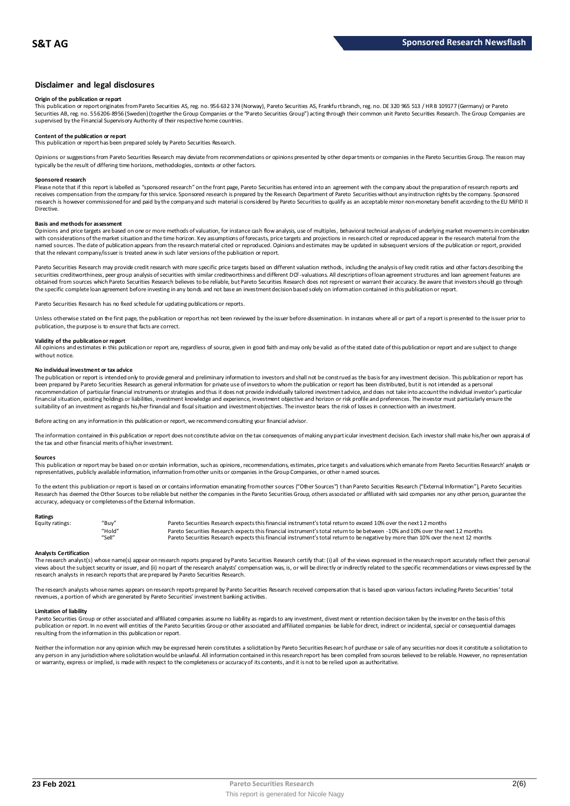### **Disclaimer and legal disclosures**

#### **Origin of the publication or report**

This publication or report originates from Pareto Securities AS, reg. no. 956 632 374 (Norway), Pareto Securities AS, Frankfu rt branch, reg. no. DE 320 965 513 / HR B 109177 (Germany) or Pareto Securities AB, reg. no. 556206-8956 (Sweden) (together the Group Companies or the "Pareto Securities Group") acting through their common unit Pareto Securities Research. The Group Companies are<br>supervised by the Financial

## **Content of the publication or report**

This publication or report has been prepared solely by Pareto Securities Research.

Opinions or suggestions from Pareto Securities Research may deviate from recommendations or opinions presented by other departments or companies in the Pareto Securities Group. The reason may typically be the result of differing time horizons, methodologies, contexts or other factors.

#### **Sponsored research**

Please note that if this report is labelled as "sponsored research" on the front page, Pareto Securities has entered into an agreement with the company about the preparation of research reports and<br>receives compensation fr research is however commissioned for and paid by the company and such material is considered by Pareto Securities to qualify as an acceptable minor non-monetary benefit according to the EU MiFID II Directive.

#### **Basis and methods for assessment**

Opinions and price targets are based on one or more methods of valuation, for instance cash flow analysis, use of multiples, behavioral technical analyses of underlying market movements in combination with considerations of the market situation and the time horizon. Key assumptions of forecasts, price targets and projections in research cited or reproduced appear in the research material from the named sources. The date of publication appears from the research material cited or reproduced. Opinions and estimates may be updated in subsequent versions of the publication or report, provided that the relevant company/issuer is treated anew in such later versions of the publication or report.

Pareto Securities Research may provide credit research with more specific price targets based on different valuation methods, including the analysis of key credit ratios and other factors describing the securities creditworthiness, peer group analysis of securities with similar creditworthiness and different DCF-valuations. All descriptions of loan agreement structures and loan agreement features are obtained from sources which Pareto Securities Research believes to be reliable, but Pareto Securities Research does not represent or warrant their accuracy. Be aware that investors should go through the specific complete loan agreement before investing in any bonds and not base an investment decision based solely on information contained in this publication or report.

Pareto Securities Research has no fixed schedule for updating publications or reports.

Unless otherwise stated on the first page, the publication or report has not been reviewed by the issuer before dissemination. In instances where all or part of a report is presented to the issuer prior to publication, the purpose is to ensure that facts are correct.

#### **Validity of the publication or report**

All opinions and estimates in this publication or report are, regardless of source, given in good faith and may only be valid as of the stated date of this publication or report and are subject to change without notice.

#### **No individual investment or tax advice**

The publication or report is intended only to provide general and preliminary information to investors and shall not be construed as the basis for any investment decision. This publication or report has<br>been prepared by Pa recommendation of particular financial instruments or strategies and thus it does not provide individually tailored investmen t advice, and does not take into account the individual investor's particular financial situation, existing holdings or liabilities, investment knowledge and experience, investment objective and horizon or risk profile and preferences. The investor must particularly ensure the<br>suitability of an inve

Before acting on any information in this publication or report, we recommend consulting your financial advisor.

The information contained in this publication or report does not constitute advice on the tax consequences of making any particular investment decision. Each investor shall make his/her own appraisal of the tax and other financial merits of his/her investment.

#### **Sources**

This publication or report may be based on or contain information, such as opinions, recommendations, estimates, price targets and valuations which emanate from Pareto Securities Research' analysts or representatives, publicly available information, information from other units or companies in the Group Companies, or other named sources.

To the extent this publication or report is based on or contains information emanating from other sources ("Other Sources") than Pareto Securities Research ("External Information"), Pareto Securities Research has deemed the Other Sources to be reliable but neither the companies in the Pareto Securities Group, others associated or affiliated with said companies nor any other person, guarantee the accuracy, adequacy or completeness of the External Information.

#### **Ratings**

| Equity ratings: | "Buy"  | Pareto Securities Research expects this financial instrument's total return to exceed 10% over the next 12 months                   |
|-----------------|--------|-------------------------------------------------------------------------------------------------------------------------------------|
|                 | "Hold" | Pareto Securities Research expects this financial instrument's total return to be between -10% and 10% over the next 12 months      |
|                 | "Sell" | Pareto Securities Research expects this financial instrument's total return to be negative by more than 10% over the next 12 months |

#### **Analysts Certification**

The research analyst(s) whose name(s) appear on research reports prepared by Pareto Securities Research certify that: (i) all o f the views expressed in the research report accurately reflect their personal views about the subject security or issuer, and (ii) no part of the research analysts' compensation was, is, or will be directly or indirectly related to the specific recommendations or views expressed by the research analysts in research reports that are prepared by Pareto Securities Research.

The research analysts whose names appears on research reports prepared by Pareto Securities Research received compensation that is based upon various factors including Pareto Securities' total<br>revenues, a portion of which

#### **Limitation of liability**

Pareto Securities Group or other associated and affiliated companies assume no liability as regards to any investment, divestment or retention decision taken by the investor on the basis of this publication or report. In no event will entities of the Pareto Securities Group or other associated and affiliated companies be liable for direct, indirect or incidental, special or consequential damages resulting from the information in this publication or report.

Neither the information nor any opinion which may be expressed herein constitutes a solidiation by Pareto Securities Research of purchase or sale of any securities nor does it constitute a solidiation to any person in any jurisdiction where solicitation would be unlawful. All information contained in this research report has been compiled from sources believed to be reliable. However, no representation or warranty, express or implied, is made with respect to the completeness or accuracy of its contents, and it is not to be relied upon as authoritative.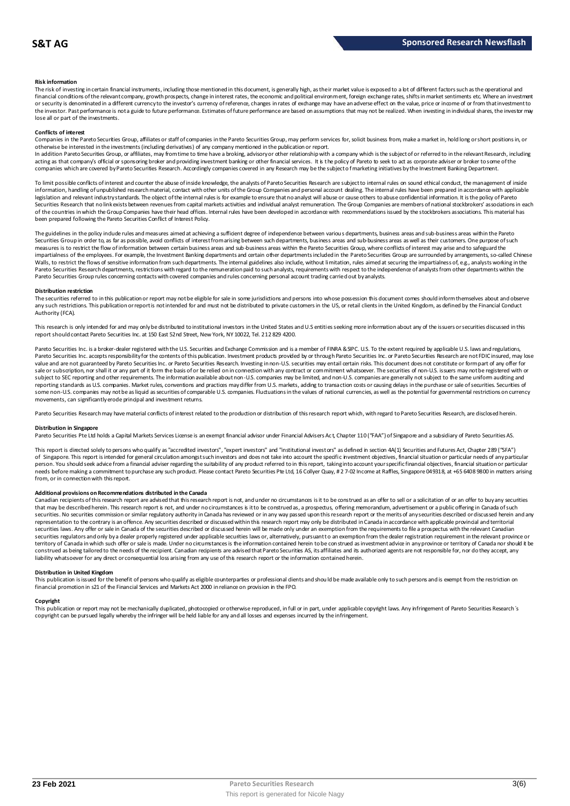#### **Risk information**

The risk of investing in certain financial instruments, including those mentioned in this document, is generally high, as their market value is exposed to a lot of different factors such as the operational and financial conditions of the relevant company, growth prospects, change in interest rates, the economic and political environment, foreign exchange rates, shifts in market sentiments etc. Where an investment or security is denominated in a different currency to the investor's currency of reference, changes in rates of exchange may have an adverse effect on the value, price or income of or from that investment to the investor. Past performance is not a guide to future performance. Estimates of future performance are based on assumptions that may not be realized. When investing in individual shares, the investor may lose all or part of the investments.

#### **Conflicts of interest**

Companies in the Pareto Securities Group, affiliates or staff of companies in the Pareto Securities Group, may perform services for, solicit business from, make a market in, hold long or short positions in, or otherwise be interested in the investments (including derivatives) of any company mentioned in the publication or report.<br>In addition Pareto Securities Group, or affiliates, may from time to time have a broking, advisory o

acting as that company's official or sponsoring broker and providing investment banking or other financial services. It is the policy of Pareto to seek to act as corporate adviser or broker to some of the companies which are covered by Pareto Securities Research. Accordingly companies covered in any Research may be the subject o f marketing initiatives by the Investment Banking Department.

To limit possible conflicts of interest and counter the abuse of inside knowledge, the analysts of Pareto Securities Research are subject to internal rules on sound ethical conduct, the management of inside information, handling of unpublished research material, contact with other units of the Group Companies and personal account dealing. The internal rules have been prepared in accordance with applicable legislation and relevant industry standards. The object of the internal rules is for example to ensure that no analyst will abuse or cause others to abuse confidential information. It is the policy of Pareto Securities Research that no link exists between revenues from capital markets activities and individual analyst remuneration. The Group Companies are members of national stockbrokers' associations in each of the countries in which the Group Companies have their head offices. Internal rules have been developed in accordance with recommendations issued by the stockbrokers associations. This material has been prepared following the Pareto Securities Conflict of Interest Policy.

The guidelines in the policy indude rules and measures aimed at achieving a sufficient degree of independence between various departments, business areas and sub-business areas within the Pareto Securities Group in order to, as far as possible, avoid conflicts of interest from arising between such departments, business areas and sub-business areas as well as their customers. One purpose of such measures is to restrict the flow of information between certain business areas and sub-business areas within the Pareto Securities Group, where conflicts of interest may arise and to safeguard the Pareto securities for exa The guidelines in the policy indude rules and measures aimed at achieving a sufficient degree of independence between various departments, business areas and sub-business areas within the Pareto<br>Securities Group in order t Pareto Securities Group rules concerning contacts with covered companies and rules concerning personal account trading carried out by analysts.

#### **Distribution restriction**

The securities referred to in this publication or report may not be eligible for sale in some jurisdictions and persons into whose possession this document comes should inform themselves about and observe Pareto Securities Group rules concerning contacts with covered companies and rules concerning personal account trading carried out by analysts.<br>Distribution restriction<br>The securities referred to in this publication or rep Authority (FCA).

This research is only intended for and may only be distributed to institutional investors in the United States and U.S entities seeking more information about any of the issuers or securities discussed in this report should contact Pareto Securities Inc. at 150 East 52nd Street, New York, NY 10022, Tel. 212 829 4200.

Pareto Securities Inc. is a broker-dealer registered with the U.S. Securities and Exchange Commission and is a member of FINRA & SIPC. U.S. To the extent required by applicable U.S. laws and regulations, Pareto Securities Inc. accepts responsibilityfor the contents of this publication. Investment products provided by or through Pareto Securities Inc. or Pareto Securities Research are not FDIC insured, may lose<br>value and ar sale or subscription, nor shall it or any part of it form the basis of or be relied on in connection with any contract or commitment whatsoever. The securities of non-U.S. issuers may not be registered with or subject to SEC reporting and other requirements. The information available about non-U.S. companies and non-U.S. companies are generally not subject to the same unifom auditing and<br>reporting standards as U.S. companies. Ma some non-U.S. companies may not be as liquid as securities of comparable U.S. companies. Fluctuations in the values of national currencies, as well as the potential for governmental restrictions on currency movements, can significantly erode principal and investment returns.

Pareto Securities Research may have material conflicts of interest related to the production or distribution of this research report which, with regard to Pareto Securities Research, are disclosed herein.

#### **Distribution in Singapore**

Pareto Securities Pte Ltd holds a Capital Markets Services License is an exempt financial advisor under Financial Advisers Ac t, Chapter 110 ("FAA") of Singapore and a subsidiary of Pareto Securities AS.

This report is directed solely to persons who qualify as "accredited investors", "expert investors" and "institutional investors" as defined in section 4A(1) Securities and Futures Act, Chapter 289 ("SFA") Distribution in Singapore<br>Pareto Securities Pte Ltd holds a Capital Markets Services License is an exempt financial advisor under Financial Advisers Act, Chapter 110 ("FAA") of Singapore and a subsidiary of Pareto Securiti person. You should seek advice from a financial adviser regarding the suitability of any product referred to in this report, taking into account your specific financial objectives, financial situation or particular needs before making a commitment to purchase any such product. Please contact Pareto Securities Pte Ltd, 16 Collyer Quay, # 2 7-02 Income at Raffles, Singapore 049318, at +65 6408 9800 in matters arising<br>from, or in connec

Additional provisions on Recommendations distributed in the Canada<br>Canadian recipients of this research report are advised that this research report is not, and under no dreumstances is it to be construed as an offer to se needs before making a commitment to purchase any such product. Please contact Pareto Securities Pte Ltd, 16 Collyer Quay, # 2 7-02 Income at Raffles, Singapore 04 9318, at +65 6408 9800 in matters arisin<br>from, or in connec From, or in connection with this report.<br>Additional provisions on Recommendations distributed in the Canada<br>Canadian recipients of this research report are advised that this research report is not, and under no circumstanc securities laws. Any offer or sale in Canada of the securities described or discussed herein will be made only under an exemption from the requirements to file a prospectus with the relevant Canadian securities regulators and only bya dealer properly registered under applicable securities laws or, alternatively, pursuant to an exemption from the dealer registration requirement in the relevant province or<br>territory of C construed as being tailored to the needs of the recipient. Canadian recipients are advised that Pareto Securities AS, its affiliates and its authorized agents are not responsible for, nor do they accept, any liability whatsoever for any direct or consequential loss arising from any use of this research report or the information contained herein.

#### **Distribution in United Kingdom**

This publication is issued for the benefit of persons who qualify as eligible counterparties or professional dients and should be made available only to such persons and is exempt from the restriction on financial promotion in s21 of the Financial Services and Markets Act 2000 in reliance on provision in the FPO.

#### **Copyright**

This publication is issued for the benefit of persons who qualify as eligible counterparties or professional dients and should be made available only to such persons and is exempt from the restriction on<br>financial promotio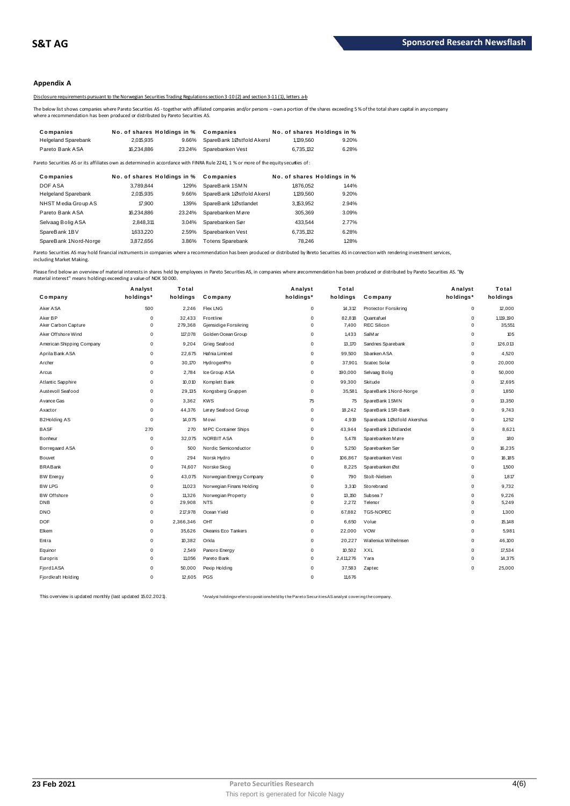### **Appendix A**

Disclosure requirements pursuant to the Norwegian Securities Trading Regulations section 3-10 (2) and section 3-11 (1), letters a-b

The below list shows companies where Pareto Securities AS - together with affiliated companies and/or persons – own a portion of the shares exceeding 5 % of the total share capital in any company<br>where a recommendation has

|                                                                                  |                             |        | Disclosure requirements pursuant to the Norwegian Securities Trading Regulations section 3-10(2) and section 3-11(1). letters a-b                       |                             |       |
|----------------------------------------------------------------------------------|-----------------------------|--------|---------------------------------------------------------------------------------------------------------------------------------------------------------|-----------------------------|-------|
| where a recommendation has been produced or distributed by Pareto Securities AS. |                             |        | The below list shows companies where Pareto Securities AS - together with affiliated companies and/or persons – own a portion of the shares exceeding 5 |                             |       |
| Companies                                                                        | No. of shares Holdings in % |        | Companies                                                                                                                                               | No. of shares Holdings in % |       |
| <b>Helgeland Sparebank</b>                                                       | 2.015.935                   | 9.66%  | SpareBank 1Østfold Akersh                                                                                                                               | 1,139,560                   | 9.20% |
| Pareto Bank ASA                                                                  | 16.234.886                  | 23.24% | Sparebanken Vest                                                                                                                                        | 6.735.132                   | 6.28% |
|                                                                                  |                             |        |                                                                                                                                                         |                             |       |

| i ieigeidilu opaiebalin    | 2.U N.Y.J  | <b>3.0070</b>               | <b>SPAILED AIR INSTRUCT A REIST</b>                                                                                                    | 1. 133.300 | <b>J.LU /0</b>              |
|----------------------------|------------|-----------------------------|----------------------------------------------------------------------------------------------------------------------------------------|------------|-----------------------------|
| Pareto Bank ASA            | 16.234.886 | 23.24%                      | Sparebanken Vest                                                                                                                       | 6.735.132  | 6.28%                       |
|                            |            |                             | Pareto Securities AS or its affiliates own as determined in accordance with FINRA Rule 2241, 1 % or more of the equity securities of : |            |                             |
| Companies                  |            | No. of shares Holdings in % | Companies                                                                                                                              |            | No. of shares Holdings in % |
| DOF ASA                    | 3.789.844  | 1.29%                       | SpareBank 1SMN                                                                                                                         | 1876.052   | 1.44%                       |
| <b>Helgeland Sparebank</b> | 2,015,935  | 9.66%                       | SpareBank 1Østfold Akersl                                                                                                              | 1,139,560  | 9.20%                       |
| NHST Media Group AS        | 17,900     | 139%                        | SpareBank 1Østlandet                                                                                                                   | 3.153.952  | 2.94%                       |
| Pareto Bank ASA            | 16,234,886 | 23.24%                      | Sparebanken Møre                                                                                                                       | 305.369    | 3.09%                       |
| Selvaag Bolig ASA          | 2.848.311  | 3.04%                       | Sparebanken Sør                                                                                                                        | 433.544    | 2.77%                       |
| SpareBank 1BV              | 1.633.220  | 2.59%                       | Sparebanken Vest                                                                                                                       | 6.735.132  | 6.28%                       |
| SpareBank 1Nord-Norge      | 3.872.656  | 3.86%                       | <b>Totens Sparebank</b>                                                                                                                | 78.246     | 1.28%                       |
|                            |            |                             |                                                                                                                                        |            |                             |

Pareto Securities AS may hold financial instruments in companies where a recommendation has been produced or distributed by Pareto Securities AS in connection with rendering investment services, including Market Making.

| naterial interest" means holdings exceeding a value of NOK 50 000. |             |           |                          |             |           | lease find below an overview of material interests in shares held by employees in Pareto Securities AS, in companies where a ecommendation has been produced or distributed by Pareto Securities AS. "By |             |           |
|--------------------------------------------------------------------|-------------|-----------|--------------------------|-------------|-----------|----------------------------------------------------------------------------------------------------------------------------------------------------------------------------------------------------------|-------------|-----------|
|                                                                    | Analyst     | Total     |                          | Analyst     | Total     |                                                                                                                                                                                                          | Analyst     | Total     |
| Company                                                            | holdings*   | holdings  | Company                  | holdings*   | holdings  | Company                                                                                                                                                                                                  | holdings*   | holdings  |
| Aker ASA                                                           | 500         | 2,246     | <b>Flex LNG</b>          | $\mathbf 0$ | 14,312    | <b>Protector Forsikring</b>                                                                                                                                                                              | $\mathsf 0$ | 12,000    |
| Aker BP                                                            | $\Omega$    | 32,433    | Frontline                | $\mathbf 0$ | 82.818    | Quant af uel                                                                                                                                                                                             | $\mathbf 0$ | 1,119,190 |
| Aker Carbon Capture                                                | $\mathbf 0$ | 279,368   | Gjensidige Forsikring    | $\mathbf 0$ | 7,400     | <b>REC Silicon</b>                                                                                                                                                                                       | $\mathbf 0$ | 35,551    |
| Aker Offshore Wind                                                 | 0           | 117,078   | Golden Ocean Group       | $\Omega$    | 1,433     | SalM ar                                                                                                                                                                                                  | $\pmb{0}$   | 105       |
| American Shipping Company                                          | $\pmb{0}$   | 9,204     | Grieg Seafood            | 0           | 13,170    | Sandnes Sparebank                                                                                                                                                                                        | $\mathsf 0$ | 126,013   |
| Aprila Bank ASA                                                    | $\mathbf 0$ | 22,675    | Hafnia Limited           | $\pmb{0}$   | 99,500    | Sbanken ASA                                                                                                                                                                                              | $\mathsf 0$ | 4,520     |
| Archer                                                             | $\mathbf 0$ | 30,170    | HydrogenPro              | $\pmb{0}$   | 37,901    | Scatec Solar                                                                                                                                                                                             | $\mathsf 0$ | 20,000    |
| Arcus                                                              | $\mathbf 0$ | 2,784     | Ice Group ASA            | $\mathbf 0$ | 190,000   | Selvaag Bolig                                                                                                                                                                                            | $\mathbf 0$ | 50,000    |
| Atlantic Sapphire                                                  | $\mathbf 0$ | 10,010    | Komplett Bank            | $\mathbf 0$ | 99,300    | Skitude                                                                                                                                                                                                  | $\mathbf 0$ | 12,695    |
| Austevoll Seafood                                                  | $\mathbf 0$ | 29,135    | Kongsberg Gruppen        | $\pmb{0}$   | 35,581    | SpareBank 1 Nord-Norge                                                                                                                                                                                   | $\mathbf 0$ | 1,850     |
| Avance Gas                                                         | $\mathbf 0$ | 3,362     | <b>KWS</b>               | 75          | 75        | SpareBank 1 SMN                                                                                                                                                                                          | $\pmb{0}$   | 13,350    |
| Axactor                                                            | $\mathbf 0$ | 44,376    | Lerøy Seafood Group      | $\mathbf 0$ | 18,242    | SpareBank 1 SR-Bank                                                                                                                                                                                      | $\mathbf 0$ | 9,743     |
| <b>B2Holding AS</b>                                                | $\mathbf 0$ | 14,075    | M owi                    | $\pmb{0}$   | 4,919     | Sparebank 1Østfold Akershus                                                                                                                                                                              | 0           | 1,252     |
| <b>BASF</b>                                                        | 270         | 270       | M PC Container Ships     | 0           | 43,944    | SpareBank 1Østlandet                                                                                                                                                                                     | 0           | 8,621     |
| Bonheur                                                            | $\mathbf 0$ | 32,075    | NORBIT ASA               | $\mathbf 0$ | 5,478     | Sparebanken Møre                                                                                                                                                                                         | $\mathbf 0$ | 180       |
| Borregaard ASA                                                     | $\mathbf 0$ | 500       | Nordic Semiconductor     | 0           | 5,250     | Sparebanken Sør                                                                                                                                                                                          | $\mathbf 0$ | 16,235    |
| Bouvet                                                             | $\mathbf 0$ | 294       | Norsk Hydro              | $\Omega$    | 106,867   | Sparebanken Vest                                                                                                                                                                                         | 0           | 16,185    |
| <b>BRABank</b>                                                     | $\mathbf 0$ | 74,607    | Norske Skog              | $\Omega$    | 8,225     | Sparebanken Øst                                                                                                                                                                                          | 0           | 1,500     |
| <b>BW Energy</b>                                                   | $\mathbf 0$ | 43,075    | Norwegian Energy Company | $\pmb{0}$   | 790       | Stolt-Nielsen                                                                                                                                                                                            | $\mathsf 0$ | 1,817     |
| <b>BW LPG</b>                                                      | $\mathbf 0$ | 11,023    | Norwegian Finans Holding | $\mathbf 0$ | 3,310     | Storebrand                                                                                                                                                                                               | $\mathbf 0$ | 9,732     |
| <b>BW Offshore</b>                                                 | $\mathbf 0$ | 11,326    | Norwegian Property       | 0           | 13,150    | Subsea 7                                                                                                                                                                                                 | $\mathbf 0$ | 9,226     |
| <b>DNB</b>                                                         | $\mathbf 0$ | 29,908    | <b>NTS</b>               | $\mathbf 0$ | 2,272     | Telenor                                                                                                                                                                                                  | $\mathbf 0$ | 5,249     |
| <b>DNO</b>                                                         | $\mathbf 0$ | 217,978   | Ocean Yield              | 0           | 67,882    | <b>TGS-NOPEC</b>                                                                                                                                                                                         | $\mathbf 0$ | 1,300     |
| <b>DOF</b>                                                         | $\mathbf 0$ | 2,366,346 | OHT                      | $\mathbf 0$ | 6,650     | Volue                                                                                                                                                                                                    | $\mathbf 0$ | 15,148    |
| Elkem                                                              | $\mathbf 0$ | 35,626    | Okeanis Eco Tankers      | $\mathbf 0$ | 22,000    | <b>VOW</b>                                                                                                                                                                                               | $\mathbf 0$ | 5,981     |
| Entra                                                              | 0           | 10,382    | Orkla                    | $\mathbf 0$ | 20,227    | Wallenius Wilhelmsen                                                                                                                                                                                     | $\pmb{0}$   | 46,100    |
| Equinor                                                            | $\mathbf 0$ | 2,549     | Panoro Energy            | $\mathbf 0$ | 10,502    | XXL                                                                                                                                                                                                      | $\mathbf 0$ | 17,534    |
| Europris                                                           | $\mathbf 0$ | 11,056    | Pareto Bank              | $\mathbf 0$ | 2,411,276 | Yara                                                                                                                                                                                                     | $\mathbf 0$ | 14,375    |
| Fjord1ASA                                                          | $\mathbf 0$ | 50,000    | Pexip Holding            | $\mathbf 0$ | 37,583    | Zaptec                                                                                                                                                                                                   | 0           | 25,000    |
| Fjordkraft Holding                                                 | $\Omega$    | 12,605    | PGS                      | $\Omega$    | 11,676    |                                                                                                                                                                                                          |             |           |

This overview is updated monthly (last updated 15.02.2021). \*\* Analyst holdings referst o positionsheld by the Paret o Securities AS analyst covering the company.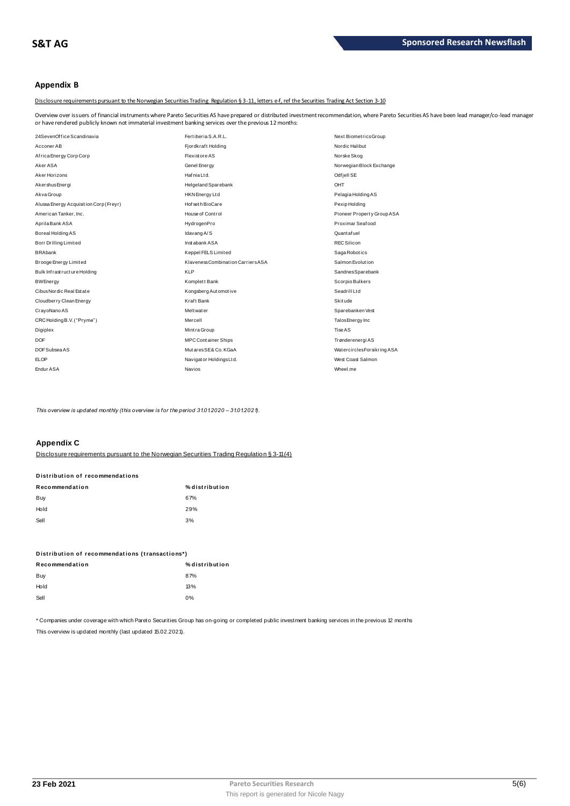### **Appendix B**

Disclosure requirements pursuant to the Norwegian Securities Trading Regulation § 3-11, letters e-f, ref the Securities Trading Act Section 3-10

Overview over issuers of financial instruments where Pareto Securities AS have prepared or distributed investment recommendation, where Pareto Securities AS have been lead manager/co-lead manager<br>or have rendered publicly

| or have rendered publicly known not immaterial investment banking services over the previous 12 months: |                                    |                             |
|---------------------------------------------------------------------------------------------------------|------------------------------------|-----------------------------|
| 24SevenOffice Scandinavia                                                                               | Fertiberia S.A.R.L.                | Next BiometricsGroup        |
| Acconer AB                                                                                              | Fjordkraft Holding                 | Nordic Halibut              |
| Africa Energy Corp Corp                                                                                 | <b>Flexistore AS</b>               | Norske Skog                 |
| Aker ASA                                                                                                | Genel Energy                       | Norwegian Block Exchange    |
| Aker Horizons                                                                                           | Hafnia Ltd.                        | Odf jell SE                 |
| Akershus Energi                                                                                         | Helgeland Sparebank                | OHT                         |
| Akva Group                                                                                              | HKN Energy Ltd                     | Pelagia Holding AS          |
| Alussa Energy Acquisition Corp (Freyr)                                                                  | Hof set h BioCare                  | Pexip Holding               |
| American Tanker, Inc.                                                                                   | House of Control                   | Pioneer Property Group ASA  |
| Aprila Bank ASA                                                                                         | HydrogenPro                        | Proximar Seafood            |
| Boreal Holding AS                                                                                       | Idavang A/S                        | Quant af uel                |
| Borr Drilling Limited                                                                                   | Instabank ASA                      | <b>REC Silicon</b>          |
| <b>BRAbank</b>                                                                                          | Keppel FELS Limited                | Saga Robotics               |
| Brooge Energy Limited                                                                                   | Klaveness Combination Carriers ASA | Salmon Evolution            |
| Bulk Infrastructure Holding                                                                             | <b>KLP</b>                         | SandnesSparebank            |
| <b>BWEnergy</b>                                                                                         | Komplett Bank                      | Scorpio Bulkers             |
| Cibus Nordic Real Estate                                                                                | Kongsberg Automotive               | Seadrill Ltd                |
| Cloudberry Clean Energy                                                                                 | Kraft Bank                         | Skitude                     |
| CrayoNano AS                                                                                            | Melt wat er                        | Sparebanken Vest            |
| CRC Holding B.V. ("Pryme")                                                                              | Mercell                            | Talos Energy Inc            |
| Digiplex                                                                                                | Mintra Group                       | Tise AS                     |
| <b>DOF</b>                                                                                              | <b>MPCContainer Ships</b>          | Trønderenergi AS            |
| DOF Subsea AS                                                                                           | MutaresSE& Co. KGaA                | Watercircles Forsikring ASA |
| <b>ELOP</b>                                                                                             | Navigator Holdings Ltd.            | West Coast Salmon           |
| Endur ASA                                                                                               | Navios                             | Wheel.me                    |

*This overview is updated monthly (this overview is for the period 31.01.2020 – 31.01.2021).*

### **Appendix C**

| <b>APPGINIA V</b>               |                                                                                            |
|---------------------------------|--------------------------------------------------------------------------------------------|
|                                 | Disclosure requirements pursuant to the Norwegian Securities Trading Requilation § 3-11(4) |
| Distribution of recommendations |                                                                                            |
| Recommendation                  | % distribution                                                                             |
| Buy                             | 67%                                                                                        |
| Hold                            | 29%                                                                                        |
| Sell                            | 3%                                                                                         |
|                                 |                                                                                            |

| ັບບ                                             | $\mathsf{v}$   |
|-------------------------------------------------|----------------|
| Distribution of recommendations (transactions*) |                |
| Recommendation                                  | % distribution |
| Buy                                             | 87%            |
| Hold                                            | 13%            |
| Sell                                            | 0%             |
|                                                 |                |

\* Companies under coverage with which Pareto Securities Group has on-going or completed public investment banking services in the previous 12 months This overview is updated monthly (last updated 15.02.2021).